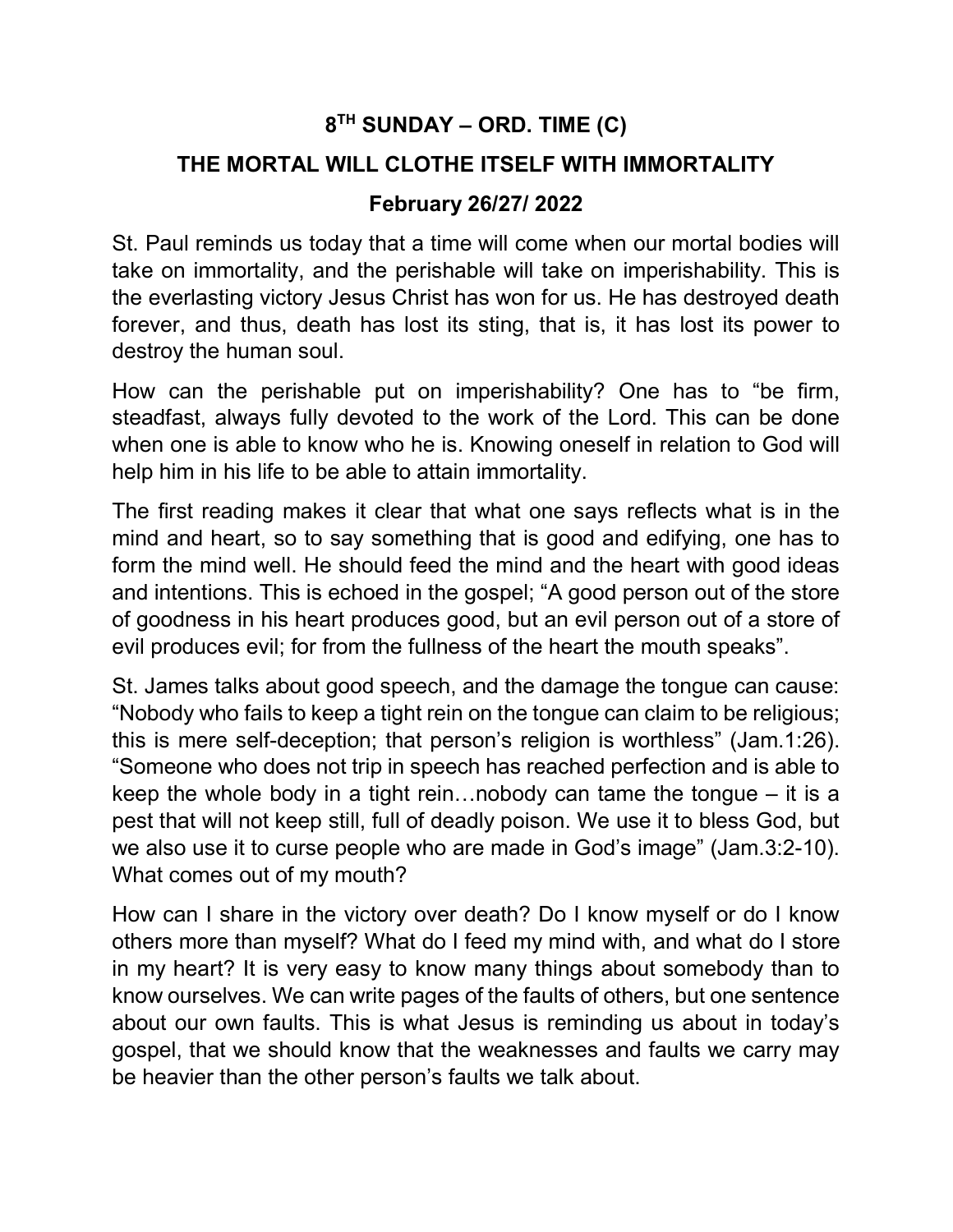## 8 TH SUNDAY – ORD. TIME (C)

## THE MORTAL WILL CLOTHE ITSELF WITH IMMORTALITY

## February 26/27/ 2022

St. Paul reminds us today that a time will come when our mortal bodies will take on immortality, and the perishable will take on imperishability. This is the everlasting victory Jesus Christ has won for us. He has destroyed death forever, and thus, death has lost its sting, that is, it has lost its power to destroy the human soul.

How can the perishable put on imperishability? One has to "be firm, steadfast, always fully devoted to the work of the Lord. This can be done when one is able to know who he is. Knowing oneself in relation to God will help him in his life to be able to attain immortality.

The first reading makes it clear that what one says reflects what is in the mind and heart, so to say something that is good and edifying, one has to form the mind well. He should feed the mind and the heart with good ideas and intentions. This is echoed in the gospel; "A good person out of the store of goodness in his heart produces good, but an evil person out of a store of evil produces evil; for from the fullness of the heart the mouth speaks".

St. James talks about good speech, and the damage the tongue can cause: "Nobody who fails to keep a tight rein on the tongue can claim to be religious; this is mere self-deception; that person's religion is worthless" (Jam.1:26). "Someone who does not trip in speech has reached perfection and is able to keep the whole body in a tight rein…nobody can tame the tongue – it is a pest that will not keep still, full of deadly poison. We use it to bless God, but we also use it to curse people who are made in God's image" (Jam.3:2-10). What comes out of my mouth?

How can I share in the victory over death? Do I know myself or do I know others more than myself? What do I feed my mind with, and what do I store in my heart? It is very easy to know many things about somebody than to know ourselves. We can write pages of the faults of others, but one sentence about our own faults. This is what Jesus is reminding us about in today's gospel, that we should know that the weaknesses and faults we carry may be heavier than the other person's faults we talk about.